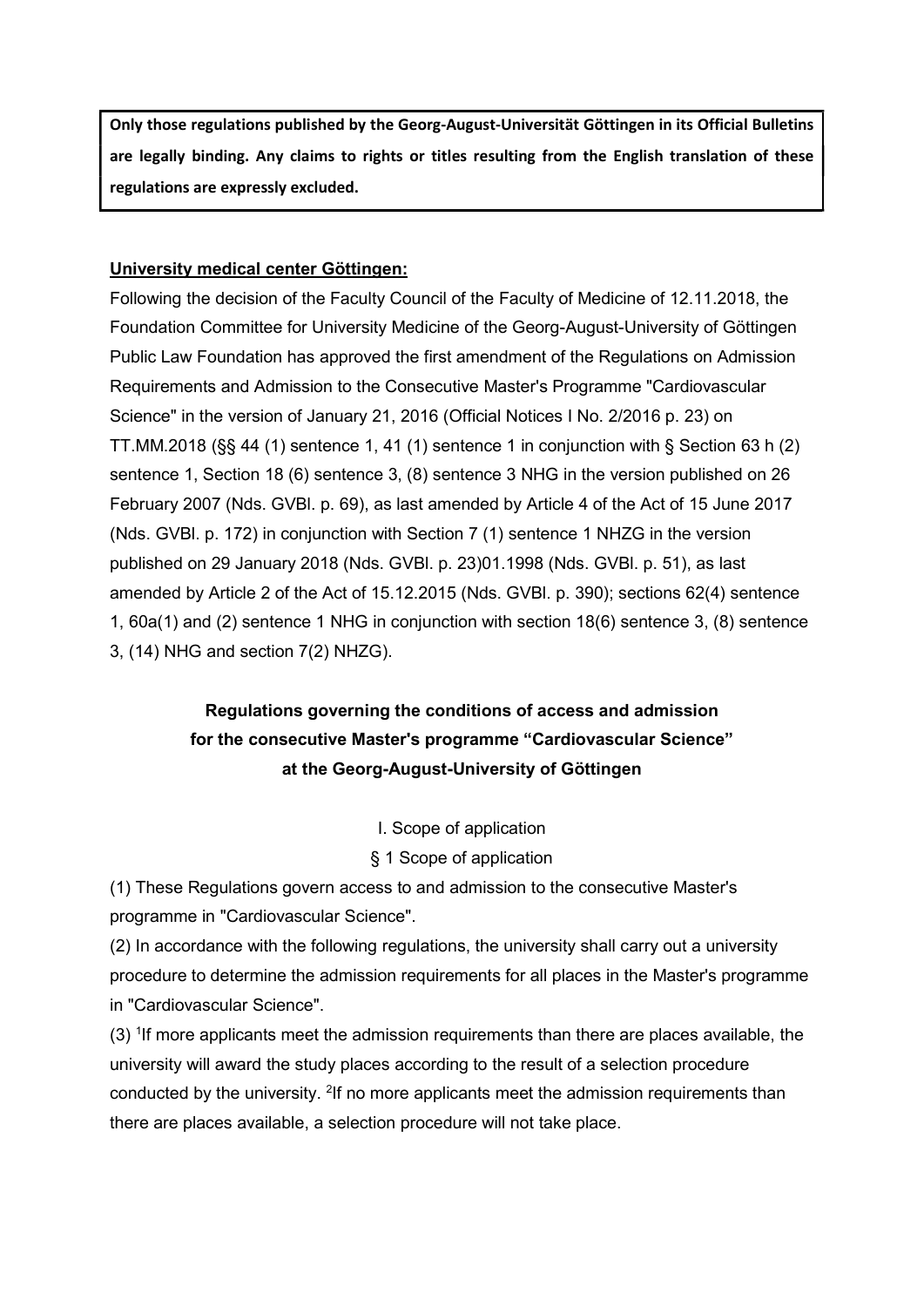Only those regulations published by the Georg-August-Universität Göttingen in its Official Bulletins are legally binding. Any claims to rights or titles resulting from the English translation of these regulations are expressly excluded.

# University medical center Göttingen:

Following the decision of the Faculty Council of the Faculty of Medicine of 12.11.2018, the Foundation Committee for University Medicine of the Georg-August-University of Göttingen Public Law Foundation has approved the first amendment of the Regulations on Admission Requirements and Admission to the Consecutive Master's Programme "Cardiovascular Science" in the version of January 21, 2016 (Official Notices I No. 2/2016 p. 23) on TT.MM.2018 (§§ 44 (1) sentence 1, 41 (1) sentence 1 in conjunction with § Section 63 h (2) sentence 1, Section 18 (6) sentence 3, (8) sentence 3 NHG in the version published on 26 February 2007 (Nds. GVBl. p. 69), as last amended by Article 4 of the Act of 15 June 2017 (Nds. GVBl. p. 172) in conjunction with Section 7 (1) sentence 1 NHZG in the version published on 29 January 2018 (Nds. GVBl. p. 23)01.1998 (Nds. GVBl. p. 51), as last amended by Article 2 of the Act of 15.12.2015 (Nds. GVBl. p. 390); sections 62(4) sentence 1, 60a(1) and (2) sentence 1 NHG in conjunction with section 18(6) sentence 3, (8) sentence 3, (14) NHG and section 7(2) NHZG).

# Regulations governing the conditions of access and admission for the consecutive Master's programme "Cardiovascular Science" at the Georg-August-University of Göttingen

I. Scope of application

§ 1 Scope of application

(1) These Regulations govern access to and admission to the consecutive Master's programme in "Cardiovascular Science".

(2) In accordance with the following regulations, the university shall carry out a university procedure to determine the admission requirements for all places in the Master's programme in "Cardiovascular Science".

(3) <sup>1</sup>If more applicants meet the admission requirements than there are places available, the university will award the study places according to the result of a selection procedure conducted by the university. <sup>2</sup>If no more applicants meet the admission requirements than there are places available, a selection procedure will not take place.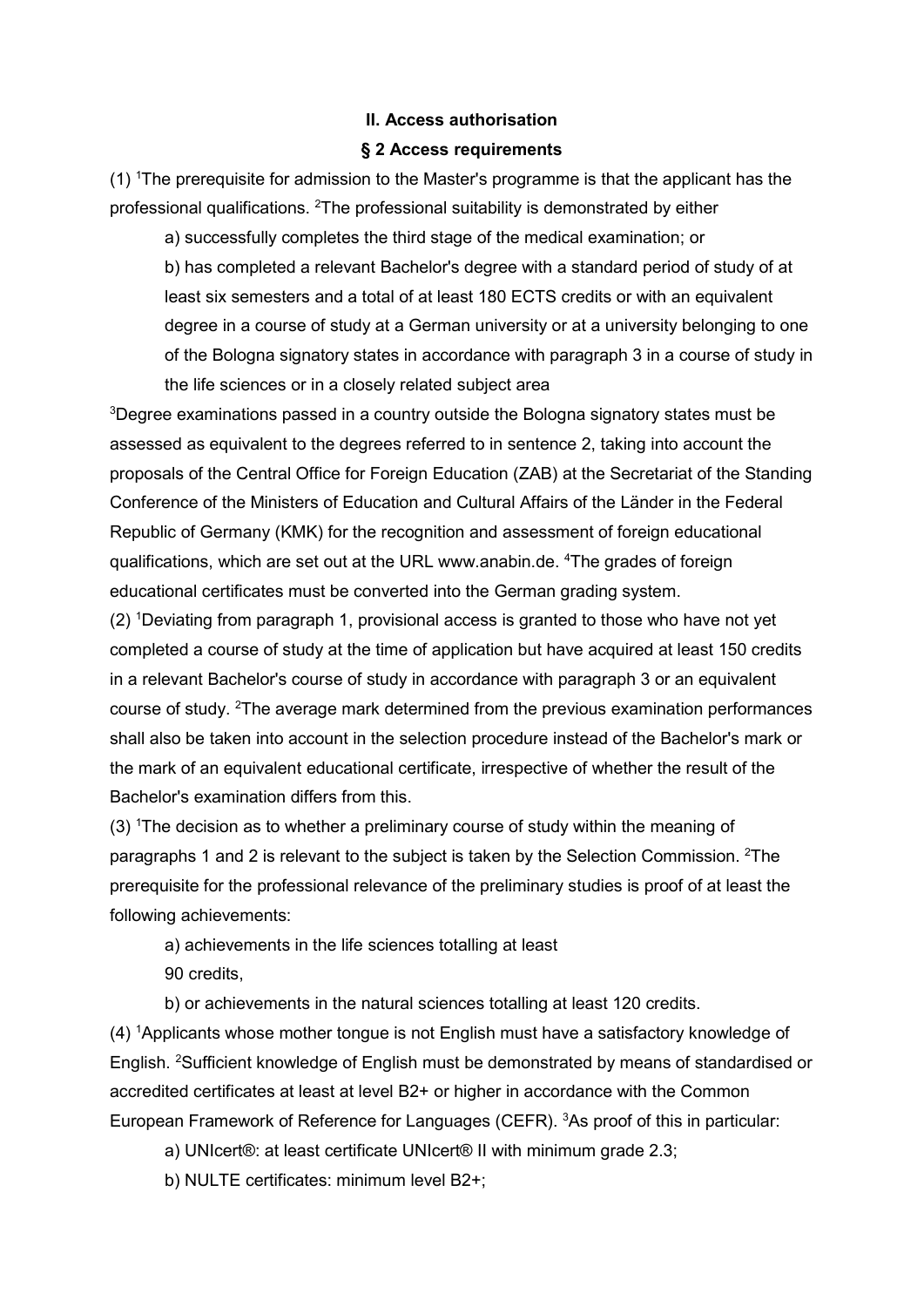### II. Access authorisation

### § 2 Access requirements

(1) <sup>1</sup>The prerequisite for admission to the Master's programme is that the applicant has the professional qualifications. <sup>2</sup>The professional suitability is demonstrated by either

a) successfully completes the third stage of the medical examination; or b) has completed a relevant Bachelor's degree with a standard period of study of at least six semesters and a total of at least 180 ECTS credits or with an equivalent degree in a course of study at a German university or at a university belonging to one of the Bologna signatory states in accordance with paragraph 3 in a course of study in the life sciences or in a closely related subject area

<sup>3</sup>Degree examinations passed in a country outside the Bologna signatory states must be assessed as equivalent to the degrees referred to in sentence 2, taking into account the proposals of the Central Office for Foreign Education (ZAB) at the Secretariat of the Standing Conference of the Ministers of Education and Cultural Affairs of the Länder in the Federal Republic of Germany (KMK) for the recognition and assessment of foreign educational qualifications, which are set out at the URL www.anabin.de. <sup>4</sup>The grades of foreign educational certificates must be converted into the German grading system.

(2) <sup>1</sup>Deviating from paragraph 1, provisional access is granted to those who have not yet completed a course of study at the time of application but have acquired at least 150 credits in a relevant Bachelor's course of study in accordance with paragraph 3 or an equivalent course of study. <sup>2</sup>The average mark determined from the previous examination performances shall also be taken into account in the selection procedure instead of the Bachelor's mark or the mark of an equivalent educational certificate, irrespective of whether the result of the Bachelor's examination differs from this.

(3) <sup>1</sup>The decision as to whether a preliminary course of study within the meaning of paragraphs 1 and 2 is relevant to the subject is taken by the Selection Commission. <sup>2</sup>The prerequisite for the professional relevance of the preliminary studies is proof of at least the following achievements:

a) achievements in the life sciences totalling at least

90 credits,

b) or achievements in the natural sciences totalling at least 120 credits.

(4) <sup>1</sup>Applicants whose mother tongue is not English must have a satisfactory knowledge of English. <sup>2</sup>Sufficient knowledge of English must be demonstrated by means of standardised or accredited certificates at least at level B2+ or higher in accordance with the Common European Framework of Reference for Languages (CEFR). <sup>3</sup>As proof of this in particular:

a) UNIcert®: at least certificate UNIcert® II with minimum grade 2.3;

b) NULTE certificates: minimum level B2+;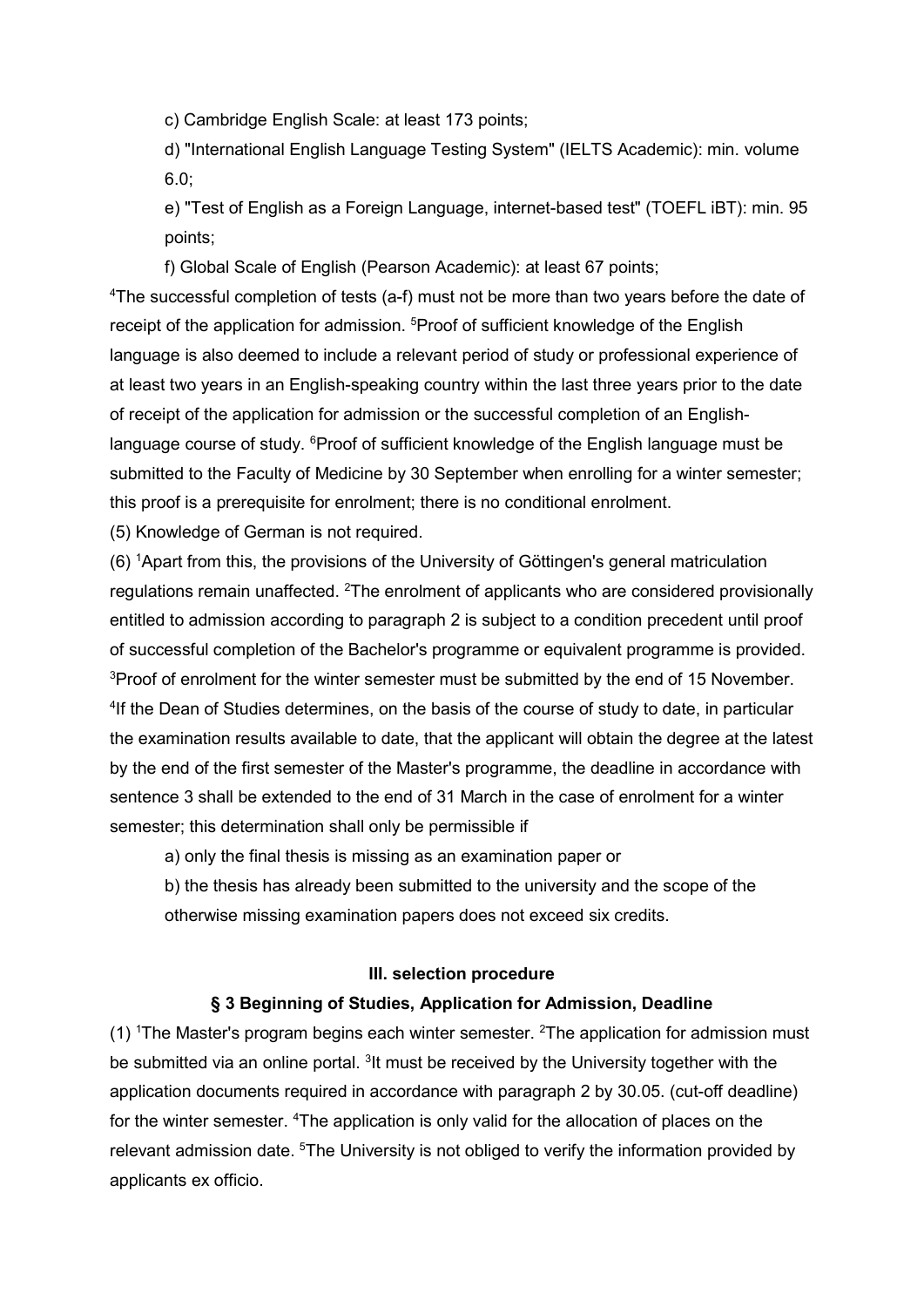c) Cambridge English Scale: at least 173 points;

d) "International English Language Testing System" (IELTS Academic): min. volume 6.0;

e) "Test of English as a Foreign Language, internet-based test" (TOEFL iBT): min. 95 points;

f) Global Scale of English (Pearson Academic): at least 67 points;

<sup>4</sup>The successful completion of tests (a-f) must not be more than two years before the date of receipt of the application for admission. <sup>5</sup>Proof of sufficient knowledge of the English language is also deemed to include a relevant period of study or professional experience of at least two years in an English-speaking country within the last three years prior to the date of receipt of the application for admission or the successful completion of an Englishlanguage course of study. <sup>6</sup>Proof of sufficient knowledge of the English language must be submitted to the Faculty of Medicine by 30 September when enrolling for a winter semester; this proof is a prerequisite for enrolment; there is no conditional enrolment.

(5) Knowledge of German is not required.

(6) <sup>1</sup>Apart from this, the provisions of the University of Göttingen's general matriculation regulations remain unaffected. <sup>2</sup>The enrolment of applicants who are considered provisionally entitled to admission according to paragraph 2 is subject to a condition precedent until proof of successful completion of the Bachelor's programme or equivalent programme is provided. <sup>3</sup>Proof of enrolment for the winter semester must be submitted by the end of 15 November. <sup>4</sup>If the Dean of Studies determines, on the basis of the course of study to date, in particular the examination results available to date, that the applicant will obtain the degree at the latest by the end of the first semester of the Master's programme, the deadline in accordance with sentence 3 shall be extended to the end of 31 March in the case of enrolment for a winter semester; this determination shall only be permissible if

a) only the final thesis is missing as an examination paper or

b) the thesis has already been submitted to the university and the scope of the otherwise missing examination papers does not exceed six credits.

#### III. selection procedure

### § 3 Beginning of Studies, Application for Admission, Deadline

(1)  $\text{The Master's program begins each winter semester.}$  <sup>2</sup>The application for admission must be submitted via an online portal. <sup>3</sup>It must be received by the University together with the application documents required in accordance with paragraph 2 by 30.05. (cut-off deadline) for the winter semester. <sup>4</sup>The application is only valid for the allocation of places on the relevant admission date. <sup>5</sup>The University is not obliged to verify the information provided by applicants ex officio.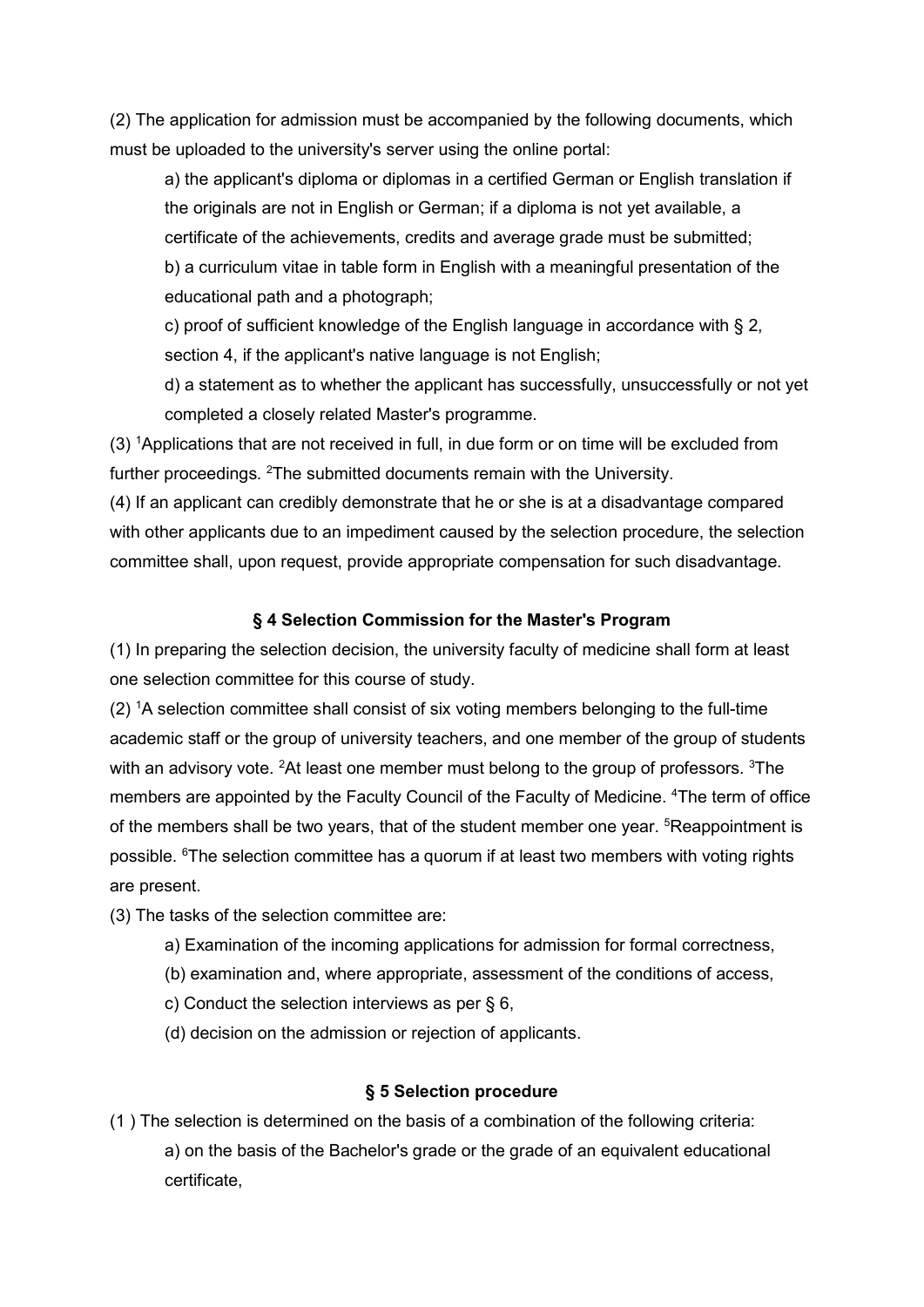(2) The application for admission must be accompanied by the following documents, which must be uploaded to the university's server using the online portal:

a) the applicant's diploma or diplomas in a certified German or English translation if the originals are not in English or German; if a diploma is not yet available, a certificate of the achievements, credits and average grade must be submitted; b) a curriculum vitae in table form in English with a meaningful presentation of the educational path and a photograph;

c) proof of sufficient knowledge of the English language in accordance with § 2, section 4, if the applicant's native language is not English;

d) a statement as to whether the applicant has successfully, unsuccessfully or not yet completed a closely related Master's programme.

(3) <sup>1</sup>Applications that are not received in full, in due form or on time will be excluded from further proceedings. <sup>2</sup>The submitted documents remain with the University.

(4) If an applicant can credibly demonstrate that he or she is at a disadvantage compared with other applicants due to an impediment caused by the selection procedure, the selection committee shall, upon request, provide appropriate compensation for such disadvantage.

# § 4 Selection Commission for the Master's Program

(1) In preparing the selection decision, the university faculty of medicine shall form at least one selection committee for this course of study.

 $(2)$  <sup>1</sup>A selection committee shall consist of six voting members belonging to the full-time academic staff or the group of university teachers, and one member of the group of students with an advisory vote. <sup>2</sup>At least one member must belong to the group of professors. <sup>3</sup>The members are appointed by the Faculty Council of the Faculty of Medicine. <sup>4</sup>The term of office of the members shall be two years, that of the student member one year, <sup>5</sup>Reappointment is possible. <sup>6</sup>The selection committee has a quorum if at least two members with voting rights are present.

(3) The tasks of the selection committee are:

- a) Examination of the incoming applications for admission for formal correctness,
- (b) examination and, where appropriate, assessment of the conditions of access,
- c) Conduct the selection interviews as per § 6,
- (d) decision on the admission or rejection of applicants.

# § 5 Selection procedure

(1 ) The selection is determined on the basis of a combination of the following criteria: a) on the basis of the Bachelor's grade or the grade of an equivalent educational certificate,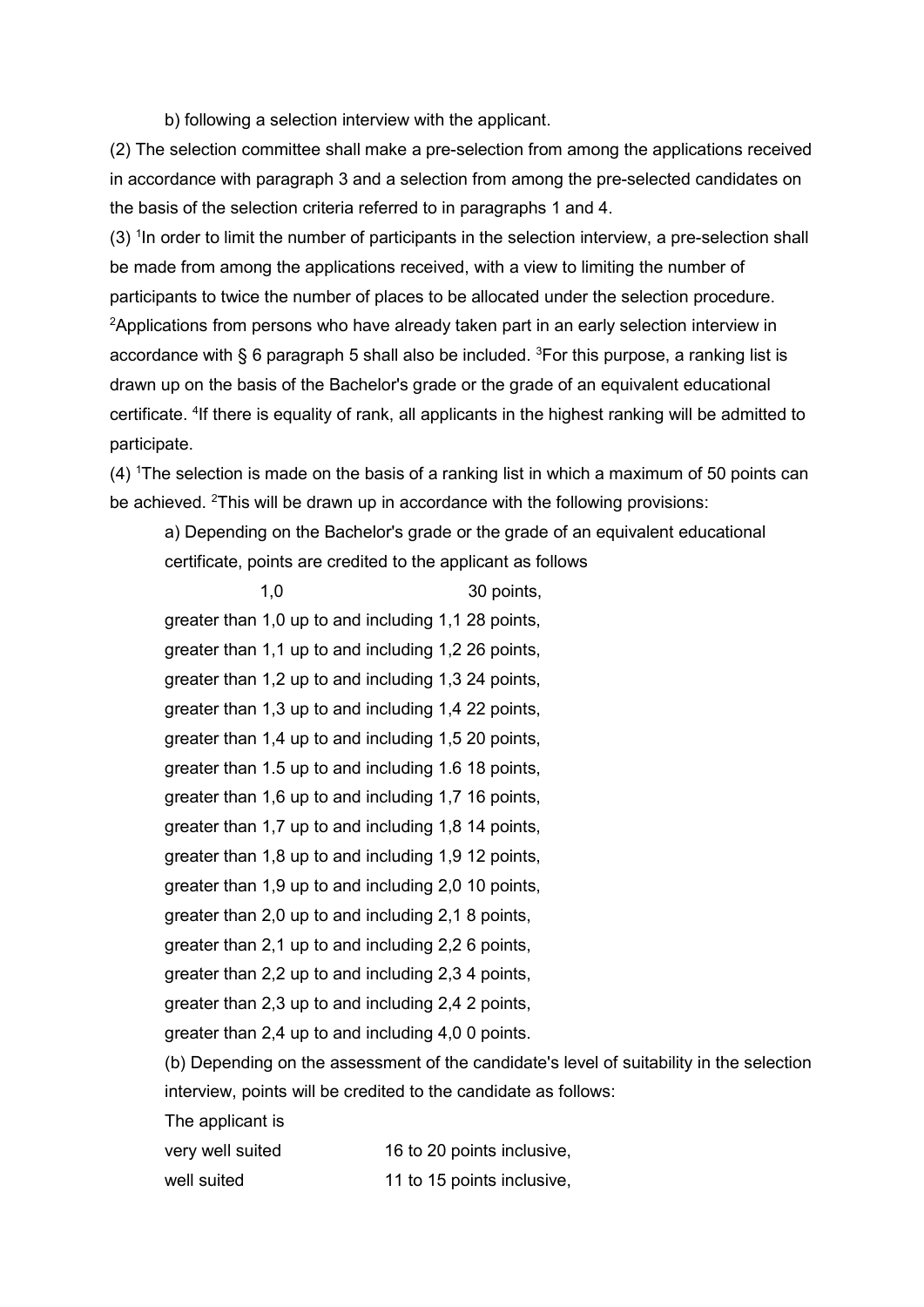b) following a selection interview with the applicant.

(2) The selection committee shall make a pre-selection from among the applications received in accordance with paragraph 3 and a selection from among the pre-selected candidates on the basis of the selection criteria referred to in paragraphs 1 and 4.

 $(3)$  <sup>1</sup> In order to limit the number of participants in the selection interview, a pre-selection shall be made from among the applications received, with a view to limiting the number of participants to twice the number of places to be allocated under the selection procedure. <sup>2</sup>Applications from persons who have already taken part in an early selection interview in accordance with § 6 paragraph 5 shall also be included.  ${}^{3}$ For this purpose, a ranking list is drawn up on the basis of the Bachelor's grade or the grade of an equivalent educational certificate. <sup>4</sup>If there is equality of rank, all applicants in the highest ranking will be admitted to participate.

 $(4)$  <sup>1</sup>The selection is made on the basis of a ranking list in which a maximum of 50 points can be achieved. <sup>2</sup>This will be drawn up in accordance with the following provisions:

a) Depending on the Bachelor's grade or the grade of an equivalent educational certificate, points are credited to the applicant as follows

|                                                     | 1,0                                                                                      | 30 points,                 |  |
|-----------------------------------------------------|------------------------------------------------------------------------------------------|----------------------------|--|
|                                                     | greater than 1,0 up to and including 1,1 28 points,                                      |                            |  |
|                                                     | greater than 1,1 up to and including 1,2 26 points,                                      |                            |  |
|                                                     | greater than 1,2 up to and including 1,3 24 points,                                      |                            |  |
|                                                     | greater than 1,3 up to and including 1,4 22 points,                                      |                            |  |
|                                                     | greater than 1,4 up to and including 1,5 20 points,                                      |                            |  |
|                                                     | greater than 1.5 up to and including 1.6 18 points,                                      |                            |  |
|                                                     | greater than 1,6 up to and including 1,7 16 points,                                      |                            |  |
|                                                     | greater than 1,7 up to and including 1,8 14 points,                                      |                            |  |
| greater than 1,8 up to and including 1,9 12 points, |                                                                                          |                            |  |
|                                                     | greater than 1,9 up to and including 2,0 10 points,                                      |                            |  |
|                                                     | greater than 2,0 up to and including 2,1 8 points,                                       |                            |  |
|                                                     | greater than 2,1 up to and including 2,2 6 points,                                       |                            |  |
|                                                     | greater than 2,2 up to and including 2,3 4 points,                                       |                            |  |
|                                                     | greater than 2,3 up to and including 2,4 2 points,                                       |                            |  |
|                                                     | greater than 2,4 up to and including 4,0 0 points.                                       |                            |  |
|                                                     | (b) Depending on the assessment of the candidate's level of suitability in the selection |                            |  |
|                                                     | interview, points will be credited to the candidate as follows:                          |                            |  |
|                                                     | The applicant is                                                                         |                            |  |
|                                                     | very well suited                                                                         | 16 to 20 points inclusive, |  |
|                                                     | well suited                                                                              | 11 to 15 points inclusive, |  |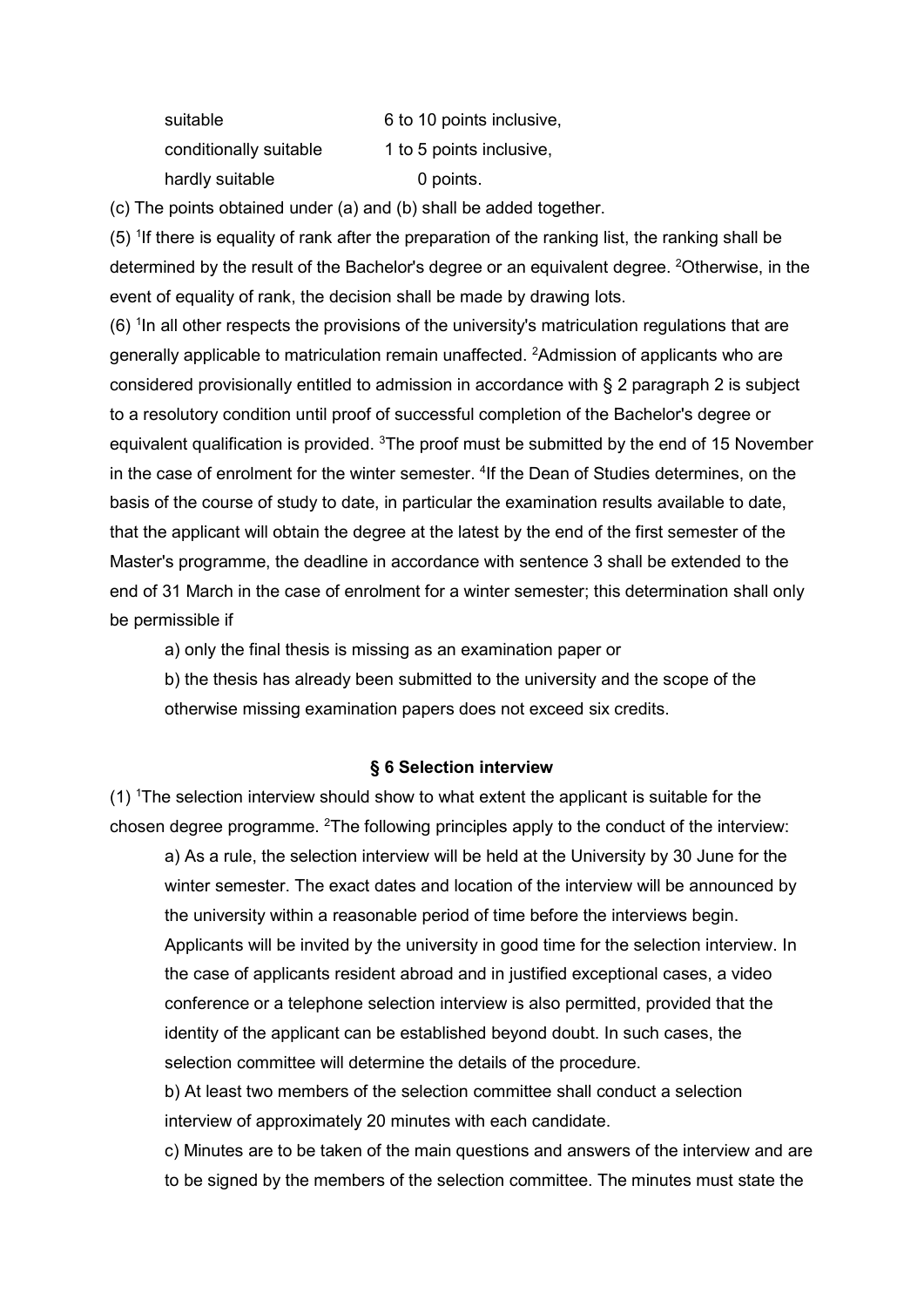| suitable               | 6 to 10      |
|------------------------|--------------|
| conditionally suitable | 1 to 5 $\mu$ |
| hardly suitable        | 0            |

points inclusive, points inclusive. haints

(c) The points obtained under (a) and (b) shall be added together.

 $(5)$  <sup>1</sup>If there is equality of rank after the preparation of the ranking list, the ranking shall be determined by the result of the Bachelor's degree or an equivalent degree. <sup>2</sup>Otherwise, in the event of equality of rank, the decision shall be made by drawing lots.

 $(6)$  <sup>1</sup>In all other respects the provisions of the university's matriculation regulations that are generally applicable to matriculation remain unaffected. <sup>2</sup>Admission of applicants who are considered provisionally entitled to admission in accordance with § 2 paragraph 2 is subject to a resolutory condition until proof of successful completion of the Bachelor's degree or equivalent qualification is provided. <sup>3</sup>The proof must be submitted by the end of 15 November in the case of enrolment for the winter semester. <sup>4</sup>If the Dean of Studies determines, on the basis of the course of study to date, in particular the examination results available to date, that the applicant will obtain the degree at the latest by the end of the first semester of the Master's programme, the deadline in accordance with sentence 3 shall be extended to the end of 31 March in the case of enrolment for a winter semester; this determination shall only be permissible if

a) only the final thesis is missing as an examination paper or

b) the thesis has already been submitted to the university and the scope of the otherwise missing examination papers does not exceed six credits.

# § 6 Selection interview

(1) <sup>1</sup>The selection interview should show to what extent the applicant is suitable for the chosen degree programme. <sup>2</sup>The following principles apply to the conduct of the interview:

a) As a rule, the selection interview will be held at the University by 30 June for the winter semester. The exact dates and location of the interview will be announced by the university within a reasonable period of time before the interviews begin. Applicants will be invited by the university in good time for the selection interview. In the case of applicants resident abroad and in justified exceptional cases, a video conference or a telephone selection interview is also permitted, provided that the identity of the applicant can be established beyond doubt. In such cases, the selection committee will determine the details of the procedure.

b) At least two members of the selection committee shall conduct a selection interview of approximately 20 minutes with each candidate.

c) Minutes are to be taken of the main questions and answers of the interview and are to be signed by the members of the selection committee. The minutes must state the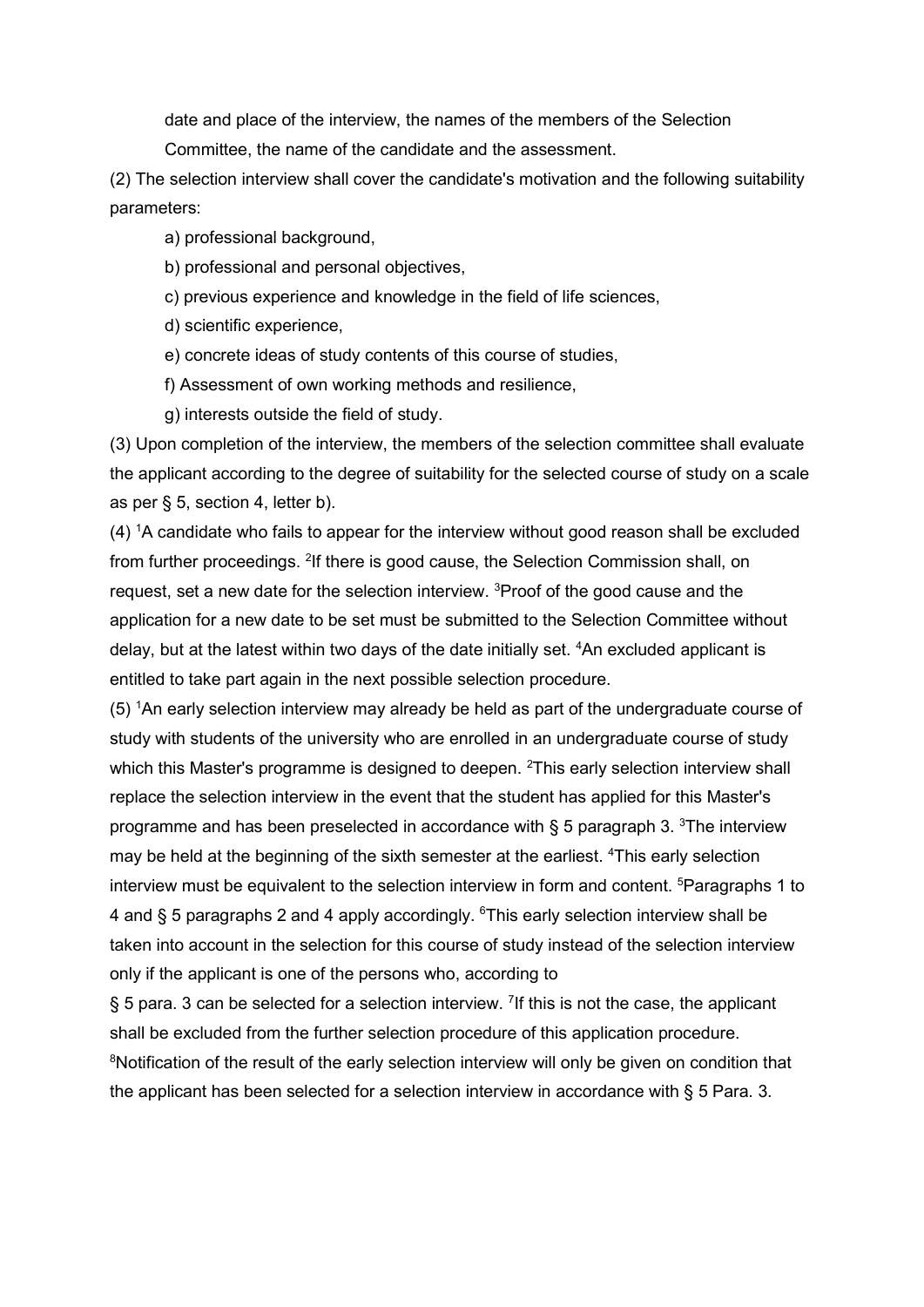date and place of the interview, the names of the members of the Selection Committee, the name of the candidate and the assessment.

(2) The selection interview shall cover the candidate's motivation and the following suitability parameters:

a) professional background,

b) professional and personal objectives,

c) previous experience and knowledge in the field of life sciences,

d) scientific experience,

e) concrete ideas of study contents of this course of studies,

f) Assessment of own working methods and resilience,

g) interests outside the field of study.

(3) Upon completion of the interview, the members of the selection committee shall evaluate the applicant according to the degree of suitability for the selected course of study on a scale as per § 5, section 4, letter b).

 $(4)$  <sup>1</sup>A candidate who fails to appear for the interview without good reason shall be excluded from further proceedings. <sup>2</sup>If there is good cause, the Selection Commission shall, on request, set a new date for the selection interview. <sup>3</sup>Proof of the good cause and the application for a new date to be set must be submitted to the Selection Committee without delay, but at the latest within two days of the date initially set. <sup>4</sup>An excluded applicant is entitled to take part again in the next possible selection procedure.

(5) <sup>1</sup>An early selection interview may already be held as part of the undergraduate course of study with students of the university who are enrolled in an undergraduate course of study which this Master's programme is designed to deepen. <sup>2</sup>This early selection interview shall replace the selection interview in the event that the student has applied for this Master's programme and has been preselected in accordance with  $\S$  5 paragraph 3. <sup>3</sup>The interview may be held at the beginning of the sixth semester at the earliest. <sup>4</sup>This early selection interview must be equivalent to the selection interview in form and content. <sup>5</sup>Paragraphs 1 to 4 and § 5 paragraphs 2 and 4 apply accordingly.  $6$ This early selection interview shall be taken into account in the selection for this course of study instead of the selection interview only if the applicant is one of the persons who, according to

§ 5 para. 3 can be selected for a selection interview. <sup>7</sup>If this is not the case, the applicant shall be excluded from the further selection procedure of this application procedure. <sup>8</sup>Notification of the result of the early selection interview will only be given on condition that the applicant has been selected for a selection interview in accordance with § 5 Para. 3.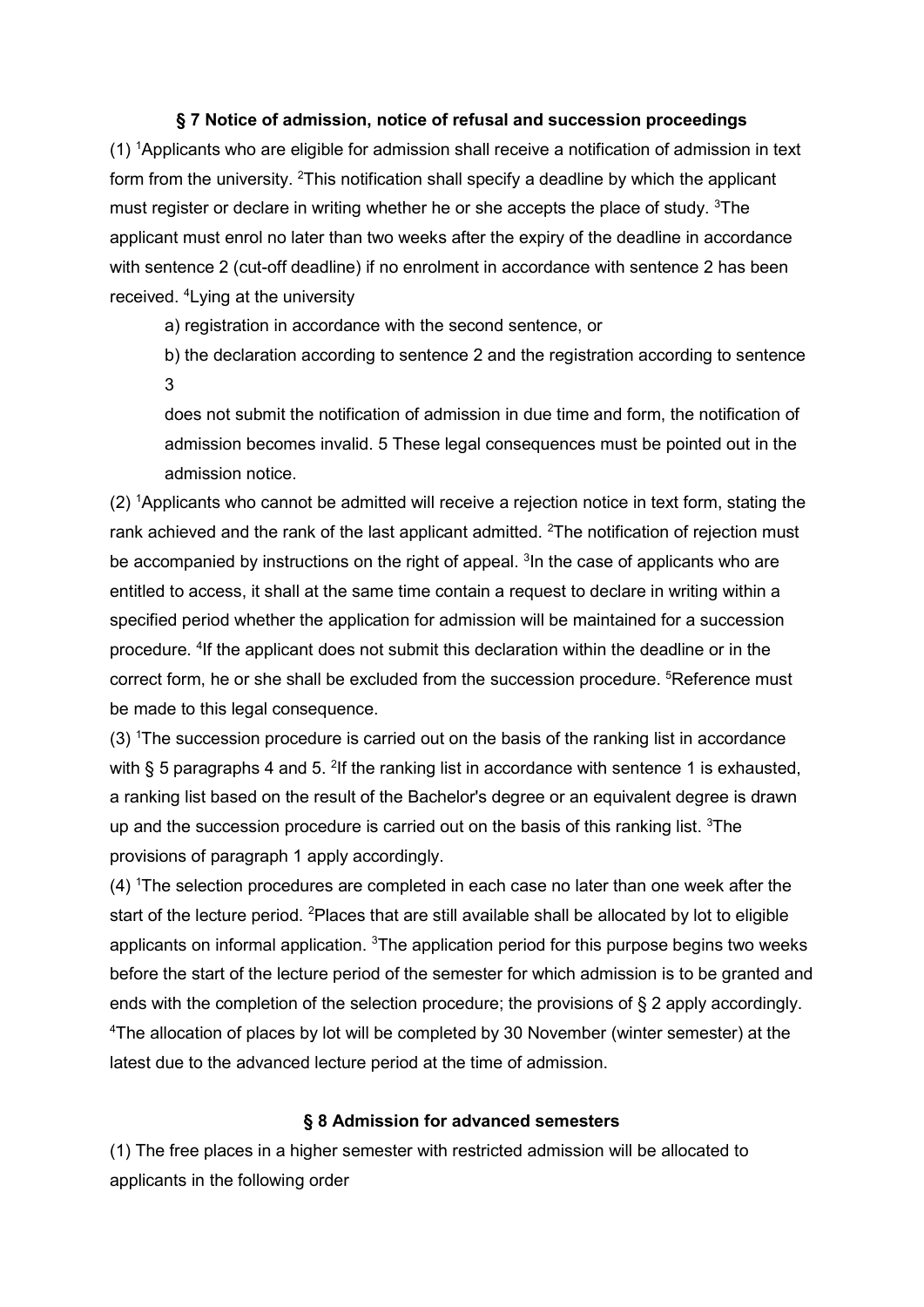# § 7 Notice of admission, notice of refusal and succession proceedings

(1) <sup>1</sup>Applicants who are eligible for admission shall receive a notification of admission in text form from the university. <sup>2</sup>This notification shall specify a deadline by which the applicant must register or declare in writing whether he or she accepts the place of study. <sup>3</sup>The applicant must enrol no later than two weeks after the expiry of the deadline in accordance with sentence 2 (cut-off deadline) if no enrolment in accordance with sentence 2 has been received. <sup>4</sup>Lying at the university

a) registration in accordance with the second sentence, or

b) the declaration according to sentence 2 and the registration according to sentence 3

does not submit the notification of admission in due time and form, the notification of admission becomes invalid. 5 These legal consequences must be pointed out in the admission notice.

(2) <sup>1</sup>Applicants who cannot be admitted will receive a rejection notice in text form, stating the rank achieved and the rank of the last applicant admitted. <sup>2</sup>The notification of rejection must be accompanied by instructions on the right of appeal. <sup>3</sup> In the case of applicants who are entitled to access, it shall at the same time contain a request to declare in writing within a specified period whether the application for admission will be maintained for a succession procedure. <sup>4</sup>If the applicant does not submit this declaration within the deadline or in the correct form, he or she shall be excluded from the succession procedure. <sup>5</sup>Reference must be made to this legal consequence.

(3) <sup>1</sup>The succession procedure is carried out on the basis of the ranking list in accordance with § 5 paragraphs 4 and 5. <sup>2</sup>If the ranking list in accordance with sentence 1 is exhausted, a ranking list based on the result of the Bachelor's degree or an equivalent degree is drawn up and the succession procedure is carried out on the basis of this ranking list.  $3$ The provisions of paragraph 1 apply accordingly.

(4) <sup>1</sup>The selection procedures are completed in each case no later than one week after the start of the lecture period. <sup>2</sup>Places that are still available shall be allocated by lot to eligible applicants on informal application.  $3$ The application period for this purpose begins two weeks before the start of the lecture period of the semester for which admission is to be granted and ends with the completion of the selection procedure; the provisions of § 2 apply accordingly. <sup>4</sup>The allocation of places by lot will be completed by 30 November (winter semester) at the latest due to the advanced lecture period at the time of admission.

# § 8 Admission for advanced semesters

(1) The free places in a higher semester with restricted admission will be allocated to applicants in the following order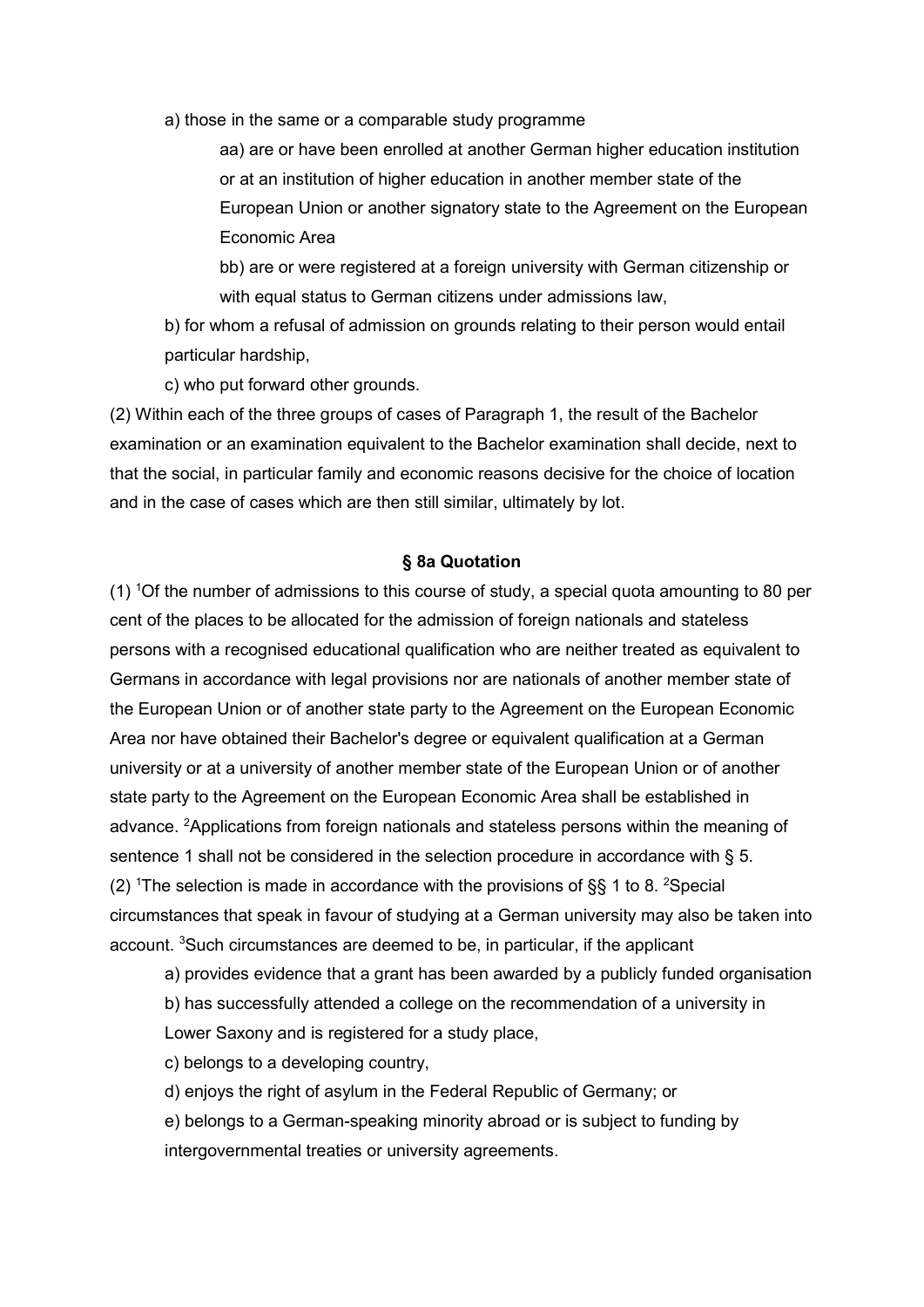a) those in the same or a comparable study programme

aa) are or have been enrolled at another German higher education institution or at an institution of higher education in another member state of the European Union or another signatory state to the Agreement on the European Economic Area

bb) are or were registered at a foreign university with German citizenship or with equal status to German citizens under admissions law,

b) for whom a refusal of admission on grounds relating to their person would entail particular hardship,

c) who put forward other grounds.

(2) Within each of the three groups of cases of Paragraph 1, the result of the Bachelor examination or an examination equivalent to the Bachelor examination shall decide, next to that the social, in particular family and economic reasons decisive for the choice of location and in the case of cases which are then still similar, ultimately by lot.

#### § 8a Quotation

(1)  $10$  f the number of admissions to this course of study, a special quota amounting to 80 per cent of the places to be allocated for the admission of foreign nationals and stateless persons with a recognised educational qualification who are neither treated as equivalent to Germans in accordance with legal provisions nor are nationals of another member state of the European Union or of another state party to the Agreement on the European Economic Area nor have obtained their Bachelor's degree or equivalent qualification at a German university or at a university of another member state of the European Union or of another state party to the Agreement on the European Economic Area shall be established in advance. <sup>2</sup>Applications from foreign nationals and stateless persons within the meaning of sentence 1 shall not be considered in the selection procedure in accordance with § 5. (2) <sup>1</sup>The selection is made in accordance with the provisions of  $\S$ § 1 to 8. <sup>2</sup>Special circumstances that speak in favour of studying at a German university may also be taken into account. <sup>3</sup>Such circumstances are deemed to be, in particular, if the applicant

a) provides evidence that a grant has been awarded by a publicly funded organisation

b) has successfully attended a college on the recommendation of a university in

Lower Saxony and is registered for a study place,

c) belongs to a developing country,

d) enjoys the right of asylum in the Federal Republic of Germany; or

e) belongs to a German-speaking minority abroad or is subject to funding by intergovernmental treaties or university agreements.